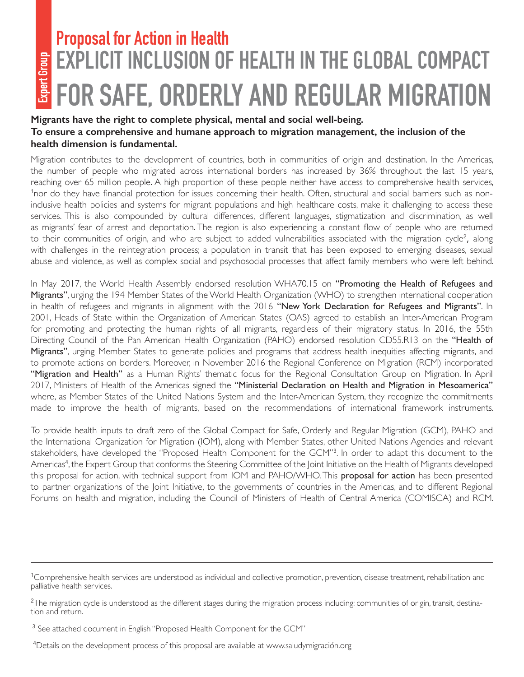# **Expert Group**

## **Proposal for Action in Health EXPLICIT INCLUSION OF HEALTH IN THE GLOBAL COMPACT FOR SAFE, ORDERLY AND REGULAR MIGRATION**

#### **Migrants have the right to complete physical, mental and social well-being. To ensure a comprehensive and humane approach to migration management, the inclusion of the health dimension is fundamental.**

Migration contributes to the development of countries, both in communities of origin and destination. In the Americas, the number of people who migrated across international borders has increased by 36% throughout the last 15 years, reaching over 65 million people. A high proportion of these people neither have access to comprehensive health services, <sup>1</sup>nor do they have financial protection for issues concerning their health. Often, structural and social barriers such as noninclusive health policies and systems for migrant populations and high healthcare costs, make it challenging to access these services. This is also compounded by cultural differences, different languages, stigmatization and discrimination, as well as migrants' fear of arrest and deportation. The region is also experiencing a constant flow of people who are returned to their communities of origin, and who are subject to added vulnerabilities associated with the migration cycle<sup>2</sup>, along with challenges in the reintegration process; a population in transit that has been exposed to emerging diseases, sexual abuse and violence, as well as complex social and psychosocial processes that affect family members who were left behind.

In May 2017, the World Health Assembly endorsed resolution WHA70.15 on "Promoting the Health of Refugees and Migrants", urging the 194 Member States of the World Health Organization (WHO) to strengthen international cooperation in health of refugees and migrants in alignment with the 2016 "New York Declaration for Refugees and Migrants". In 2001, Heads of State within the Organization of American States (OAS) agreed to establish an Inter-American Program for promoting and protecting the human rights of all migrants, regardless of their migratory status. In 2016, the 55th Directing Council of the Pan American Health Organization (PAHO) endorsed resolution CD55.R13 on the "Health of Migrants", urging Member States to generate policies and programs that address health inequities affecting migrants, and to promote actions on borders. Moreover, in November 2016 the Regional Conference on Migration (RCM) incorporated "Migration and Health" as a Human Rights' thematic focus for the Regional Consultation Group on Migration. In April 2017, Ministers of Health of the Americas signed the "Ministerial Declaration on Health and Migration in Mesoamerica" where, as Member States of the United Nations System and the Inter-American System, they recognize the commitments made to improve the health of migrants, based on the recommendations of international framework instruments.

To provide health inputs to draft zero of the Global Compact for Safe, Orderly and Regular Migration (GCM), PAHO and the International Organization for Migration (IOM), along with Member States, other United Nations Agencies and relevant stakeholders, have developed the "Proposed Health Component for the GCM"<sup>3</sup>. In order to adapt this document to the Americas<sup>4</sup>, the Expert Group that conforms the Steering Committee of the Joint Initiative on the Health of Migrants developed this proposal for action, with technical support from IOM and PAHO/WHO. This **proposal for action** has been presented to partner organizations of the Joint Initiative, to the governments of countries in the Americas, and to different Regional Forums on health and migration, including the Council of Ministers of Health of Central America (COMISCA) and RCM.

<sup>&</sup>lt;sup>1</sup>Comprehensive health services are understood as individual and collective promotion, prevention, disease treatment, rehabilitation and palliative health services.

 $^2$ The migration cycle is understood as the different stages during the migration process including: communities of origin, transit, destination and return.

<sup>&</sup>lt;sup>3</sup> See attached document in English "Proposed Health Component for the GCM"

<sup>4</sup> Details on the development process of this proposal are available at www.saludymigración.org